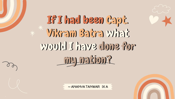

# If I had been Capt. Vikram Batra what would I have done for my nation?

~ ANANYA TANWAR IX A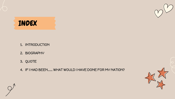

### INDEX

- 1. INTRODUCTION
- 2. BIOGRAPHY
- 3. QUOTE
- 4. IF I HAD BEEN…… WHAT WOULD I HAVE DONE FOR MY NATION?

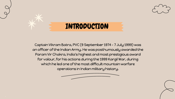

Captain Vikram Batra, PVC (9 September 1974 – 7 July 1999) was an officer of the Indian Army. He was posthumously awarded the Param Vir Chakra, India's highest and most prestigious award for valour, for his actions during the 1999 Kargil War, during which he led one of the most difficult mountain warfare operations in Indian military history.

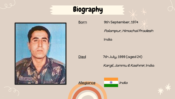## Biography



Born 9th September, 1974

Palampur, Himachal Pradesh

India

Died 7th July, 1999 (aged 24)

Kargil, Jammu & Kashmir, India



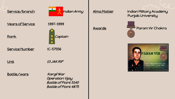

Years of Service 1997-1999

Rank **Rank** Captain

Service Number IC-57556

Unit 13 JAK RIF

### Battle/wars Kargil War

 Operation Vijay Battle of Point 5140 Battle of Point 4875

Alma Matter Indian Military Academy Punjab University



Awards Param Vir Chakra

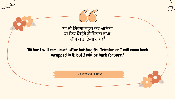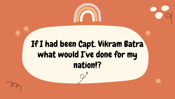

## If I had been Capt. Vikram Batra what would I've done for my nation!?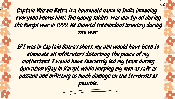Captain Vikram Batra is a household name in India (meaningeveryone knows him). The young soldier was martyred during the Kargil war in 1999. He showed tremendous bravery during the war.

If I was in Captain Batra's shoes, my aim would have been to eliminate all infiltrators disturbing the peace of my motherland. I would have fearlessly led my team during Operation Vijay in Kargil, while keeping my men as safe as possible and inflicting as much damage on the terrorists as possible.

SLIDESMANIA.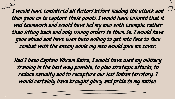I would have considered all factors before leading the attack and then gone on to capture those points. I would have ensured that it was teamwork and would have led my men with example, rather than sitting back and only issuing orders to them. So, I would have gone ahead and have even been willing to get into face to face combat with the enemy while my men would give me cover.

Had I been Captain Vikram Batra, I would have used my military training in the best way possible, to plan strategic attacks, to reduce casualty and to recapture our lost Indian territory. I would certainly have brought glory and pride to my nation.